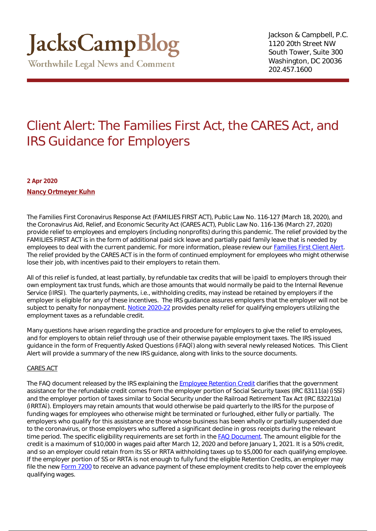## Client Alert: The Families First Act, the CARES Act, and IRS Guidance for Employers

**2 Apr 2020 [Nancy Ortmeyer Kuhn](https://www.jackscamp.com/attorneys/nancy-ortmeyer-kuhn/)**

The Families First Coronavirus Response Act (FAMILIES FIRST ACT), Public Law No. 116-127 (March 18, 2020), and the Coronavirus Aid, Relief, and Economic Security Act (CARES ACT), Public Law No. 116-136 (March 27, 2020) provide relief to employees and employers (including nonprofits) during this pandemic. The relief provided by the FAMILIES FIRST ACT is in the form of additional paid sick leave and partially paid family leave that is needed by employees to deal with the current pandemic. For more information, please review our **Families First Client Alert**. The relief provided by the CARES ACT is in the form of continued employment for employees who might otherwise lose their job, with incentives paid to their employers to retain them.

All of this relief is funded, at least partially, by refundable tax credits that will be paid to employers through their own employment tax trust funds, which are those amounts that would normally be paid to the Internal Revenue Service (IRS). The quarterly payments, i.e., withholding credits, may instead be retained by employers if the employer is eligible for any of these incentives. The IRS guidance assures employers that the employer will not be subject to penalty for nonpayment. [Notice 2020-22](https://www.irs.gov/coronavirus) provides penalty relief for qualifying employers utilizing the employment taxes as a refundable credit.

Many questions have arisen regarding the practice and procedure for employers to give the relief to employees, and for employers to obtain relief through use of their otherwise payable employment taxes. The IRS issued guidance in the form of Frequently Asked Questions (FAQ) along with several newly released Notices. This Client Alert will provide a summary of the new IRS guidance, along with links to the source documents.

### CARES ACT

The FAQ document released by the IRS explaining the [Employee Retention Credit](https://www.irs.gov/newsroom/faqs-employee-retention-credit-under-the-cares-act) clarifies that the government assistance for the refundable credit comes from the employer portion of Social Security taxes (IRC §3111(a) (SS) and the employer portion of taxes similar to Social Security under the Railroad Retirement Tax Act (IRC §3221(a) (RRTA). Employers may retain amounts that would otherwise be paid quarterly to the IRS for the purpose of funding wages for employees who otherwise might be terminated or furloughed, either fully or partially. The employers who qualify for this assistance are those whose business has been wholly or partially suspended due to the coronavirus, or those employers who suffered a significant decline in gross receipts during the relevant time period. The specific eligibility requirements are set forth in the **FAQ Document**. The amount eligible for the credit is a maximum of \$10,000 in wages paid after March 12, 2020 and before January 1, 2021. It is a 50% credit, and so an employer could retain from its SS or RRTA withholding taxes up to \$5,000 for each qualifying employee. If the employer portion of SS or RRTA is not enough to fully fund the eligible Retention Credits, an employer may file the new [Form 7200](https://www.irs.gov/forms-pubs/about-form-7200) to receive an advance payment of these employment credits to help cover the employees qualifying wages.